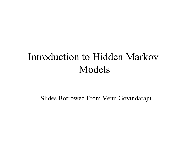# Introduction to Hidden Markov Models

Slides Borrowed From Venu Govindaraju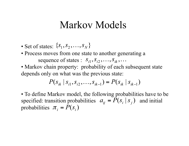### Markov Models

- Set of states:  $\{S_1, S_2, \ldots, S_N\}$
- Process moves from one state to another generating a sequence of states :  $S_{i1}, S_{i2}, \ldots, S_{ik}, \ldots$
- Markov chain property: probability of each subsequent state depends only on what was the previous state:

$$
P(s_{ik} | s_{i1}, s_{i2}, \ldots, s_{ik-1}) = P(s_{ik} | s_{ik-1})
$$

• To define Markov model, the following probabilities have to be specified: transition probabilities  $a_{ii} = P(s_i | s_i)$  and initial probabilities  $\pi_i = P(s_i)$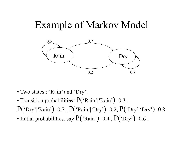### Example of Markov Model



- Two states : 'Rain' and 'Dry'.
- Transition probabilities:  $P("Rain']`Rain")=0.3$ ,
- $P('Dry'('Rain')=0.7, P('Rain'('Dry')=0.2, P('Dry'('Dry')=0.8$
- Initial probabilities: say  $P("Rain")=0.4$ ,  $P("Dry")=0.6$ .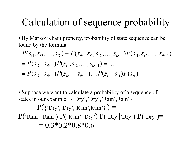# Calculation of sequence probability

• By Markov chain property, probability of state sequence can be found by the formula:

$$
P(s_{i1}, s_{i2},..., s_{ik}) = P(s_{ik} | s_{i1}, s_{i2},..., s_{ik-1}) P(s_{i1}, s_{i2},..., s_{ik-1})
$$
  
=  $P(s_{ik} | s_{ik-1}) P(s_{i1}, s_{i2},..., s_{ik-1}) = ...$   
=  $P(s_{ik} | s_{ik-1}) P(s_{ik-1} | s_{ik-2}) ... P(s_{i2} | s_{i1}) P(s_{i1})$ 

• Suppose we want to calculate a probability of a sequence of states in our example,  $\{`Dry',`Dry',`Rain',Rain'\}.$ 

 $P({$  {'Dry','Dry','Rain',Rain'}  $) =$  $P("Rain']'Rain') P("Rain']' Dry') P("Dry']' Dry'] P("Dry") P("Dry") =$  $= 0.3*0.2*0.8*0.6$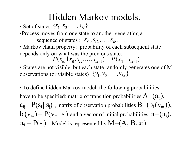### Hidden Markov models.

• Set of states:  $\{S_1, S_2, \ldots, S_N\}$ 

•Process moves from one state to another generating a sequence of states :  $S_{i1}, S_{i2}, \ldots, S_{ik}, \ldots$ 

• Markov chain property: probability of each subsequent state depends only on what was the previous state:

$$
P(s_{ik} \mid s_{i1}, s_{i2}, \ldots, s_{ik-1}) = P(s_{ik} \mid s_{ik-1})
$$

• States are not visible, but each state randomly generates one of M observations (or visible states)  $\{v_1, v_2, ..., v_M\}$ 

• To define hidden Markov model, the following probabilities € have to be specified: matrix of transition probabilities  $A=(a_{ii})$ ,  $a_{ii} = P(s_i | s_i)$ , matrix of observation probabilities  $B=(b_i(v_m))$ ,  $b_i(v_m) = P(v_m | s_i)$  and a vector of initial probabilities  $\pi = (\pi_i)$ ,  $\pi_i = P(s_i)$ . Model is represented by  $M=(A, B, \pi)$ .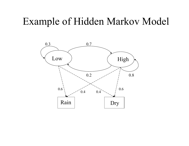#### Example of Hidden Markov Model

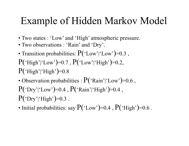## Example of Hidden Markov Model

- Two states : 'Low' and 'High' atmospheric pressure.
- Two observations : 'Rain' and 'Dry'.
- Transition probabilities:  $P("Low" | "Low")=0.3$ ,  $P("High"|'Low")=0.7, P("Low"|'High")=0.2,$  $P('High'']'High')=0.8$
- Observation probabilities :  $P("Rain']'Low')=0.6$ ,  $P("Dry}| "Low">=0.4 , P("Rain" | "High")=0.4 ,$  $P("Dry" | "High")=0.3$ .
- Initial probabilities: say  $P("Low")=0.4$ ,  $P("High")=0.6$ .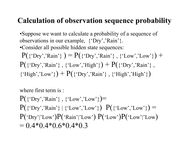#### **Calculation of observation sequence probability**

•Suppose we want to calculate a probability of a sequence of observations in our example, {'Dry','Rain'}. •Consider all possible hidden state sequences:  $P({^{\{'}\text{Dry'}}, 'Rain'} ) = P({^{\{'}\text{Dry'}}, 'Rain'} , {^{\{'}\text{Low'}}, 'Low'} ) +$  $P({'i\text{Dry}}, 'Rain'}, {'Low'}, 'High') + P({'i\text{ Dry'}, 'Rain'}$ ,  ${\text{``High', 'Low'}}$  +  $P({^{\{^\prime}\text{Dry', 'Rain'}}}, {\text{``High', 'High'}}})$ 

where first term is :  $P({^{\{'}\text{Dry'}}, 'Rain'} , {^{\{'}\text{Low'}}, 'Low'}\}) =$  $P({$  {'Dry','Rain'} | {'Low','Low'})  $P({$  {'Low','Low'}) =  $P('Dry')'Low')P('Rain')'Low') P('Low')P('Low')'Low'$  $= 0.4*0.4*0.6*0.4*0.3$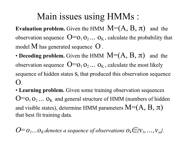#### Main issues using HMMs :

**Evaluation problem.** Given the HMM  $M=(A, B, \pi)$  and the observation sequence  $O = O_1 O_2 ... O_K$ , calculate the probability that model  $M$  has generated sequence  $O$ .

- Decoding problem. Given the HMM  $M=(A, B, \pi)$  and the observation sequence  $O = O_1 O_2 ... O_K$ , calculate the most likely sequence of hidden states  $S_i$  that produced this observation sequence  $\Omega$
- Learning problem. Given some training observation sequences  $O = O_1 O_2 ... O_K$  and general structure of HMM (numbers of hidden and visible states), determine HMM parameters  $M=(A, B, \pi)$ that best fit training data.

 $O = O_1...O_K$  denotes a sequence of observations  $O_k \subset \{V_1,...,V_m\}$ .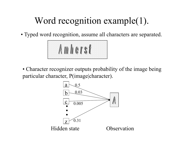## Word recognition example(1).

• Typed word recognition, assume all characters are separated.



• Character recognizer outputs probability of the image being particular character, P(image|character).

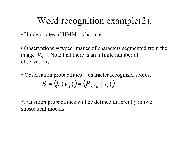### Word recognition example(2).

- Hidden states of HMM = characters.
- Observations = typed images of characters segmented from the image  $V_{\alpha}$ . Note that there is an infinite number of observations
- Observation probabilities = character recognizer scores.  $B = (b_i(v_\alpha)) = (P(v_\alpha | s_i))$

•Transition probabilities will be defined differently in two subsequent models.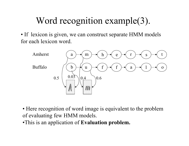## Word recognition example(3).

• If lexicon is given, we can construct separate HMM models for each lexicon word.



• Here recognition of word image is equivalent to the problem of evaluating few HMM models.

•This is an application of **Evaluation problem.**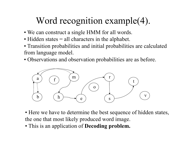## Word recognition example(4).

- We can construct a single HMM for all words.
- Hidden states = all characters in the alphabet.
- Transition probabilities and initial probabilities are calculated from language model.
- Observations and observation probabilities are as before.



- Here we have to determine the best sequence of hidden states, the one that most likely produced word image.
- This is an application of **Decoding problem.**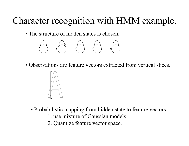### Character recognition with HMM example.

• The structure of hidden states is chosen.



• Observations are feature vectors extracted from vertical slices.



- Probabilistic mapping from hidden state to feature vectors:
	- 1. use mixture of Gaussian models
	- 2. Quantize feature vector space.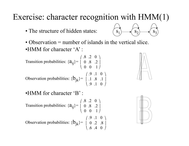#### Exercise: character recognition with HMM(1)

• The structure of hidden states:



• Observation = number of islands in the vertical slice. •HMM for character 'A' :

Transition probabilities:  ${a_{ij}}$ = Observation probabilities:  ${b_{jk}}$ =  $( .8 \t .2 \t 0 )$  $\begin{array}{|c|c|c|c|c|} \hline 0 & .8 & .2 \end{array}$  $(0 \t0 \t1)$  $( .9 \t1 \t0 )$  $\vert .1 \t .8 \t .1 \vert$  $( .9 \t1 \t0 )$ 

•HMM for character 'B' :

transition probabilities: 
$$
{a_{ij}} = \begin{pmatrix} .8 & .2 & 0 \\ 0 & .8 & .2 \\ 0 & 0 & 1 \end{pmatrix}
$$

\nObservation probabilities:  ${b_{jk}} = \begin{pmatrix} .9 & .1 & 0 \\ 0 & .2 & .8 \\ .6 & .4 & 0 \end{pmatrix}$ 

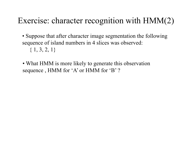#### Exercise: character recognition with HMM(2)

- Suppose that after character image segmentation the following sequence of island numbers in 4 slices was observed:  $\{1, 3, 2, 1\}$
- What HMM is more likely to generate this observation sequence , HMM for 'A' or HMM for 'B' ?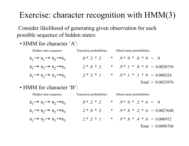#### Exercise: character recognition with HMM(3)

 Consider likelihood of generating given observation for each possible sequence of hidden states:

• HMM for character 'A':

| Hidden state sequence                                 | Transition probabilities | Observation probabilities         |
|-------------------------------------------------------|--------------------------|-----------------------------------|
| $S_1 \rightarrow S_1 \rightarrow S_2 \rightarrow S_3$ | $.8 * .2 * .2$           | * $9 * 0 * 8 * 9 = 0$             |
| $S_1 \rightarrow S_2 \rightarrow S_2 \rightarrow S_3$ | $.2 * .8 * .2$           | * $.9 * .1 * .8 * .9 = 0.0020736$ |
| $S_1 \rightarrow S_2 \rightarrow S_3 \rightarrow S_3$ | $.2 * .2 * 1$            | * $.9 * .1 * .1 * .9 = 0.000324$  |
|                                                       |                          | Total = $0.0023976$               |

• HMM for character 'B':

| Hidden state sequence                                 | Transition probabilities | Observation probabilities         |
|-------------------------------------------------------|--------------------------|-----------------------------------|
| $S_1 \rightarrow S_1 \rightarrow S_2 \rightarrow S_3$ | $.8 * .2 * .2$           | * $.9 * 0 * .2 * .6 = 0$          |
| $S_1 \rightarrow S_2 \rightarrow S_2 \rightarrow S_3$ | $.2 * .8 * .2$           | * $.9 * .8 * .2 * .6 = 0.0027648$ |
| $S_1 \rightarrow S_2 \rightarrow S_3 \rightarrow S_3$ | $.2 * .2 * 1$            | * $.9 * .8 * .4 * .6 = 0.006912$  |
|                                                       |                          | Total = $0.0096768$               |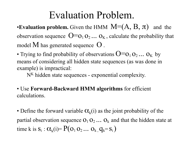## Evaluation Problem.

•**Evaluation problem.** Given the HMM  $M=(A, B, \pi)$  and the observation sequence  $O = O_1 O_2 ... O_K$ , calculate the probability that model M has generated sequence O .

• Trying to find probability of observations  $O = O_1 O_2 ... O_K$  by means of considering all hidden state sequences (as was done in example) is impractical:

 $N<sup>K</sup>$  hidden state sequences - exponential complexity.

• Use **Forward-Backward HMM algorithms** for efficient calculations.

• Define the forward variable  $\alpha_k(i)$  as the joint probability of the partial observation sequence  $O_1 O_2 \dots O_k$  and that the hidden state at time k is  $S_i$ :  $\alpha_k(i) = P(o_1 o_2 ... o_k q_k = s_i)$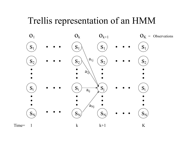#### Trellis representation of an HMM

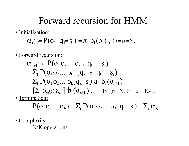#### Forward recursion for HMM

• Initialization:

$$
\alpha_{\scriptscriptstyle 1}(i) \!\!= P(o_{\scriptscriptstyle 1}\,, q_{\scriptscriptstyle 1} \!\!=\! s_{\scriptscriptstyle i}) = \! \pi_{\scriptscriptstyle i}\; b_{\scriptscriptstyle i}(o_{\scriptscriptstyle 1})\;,\; 1 \!\!<\!\! = \!\! i \!\!<\!\! -N.
$$

• Forward recursion:

$$
\alpha_{k+1}(i) = P(o_1 o_2 ... o_{k+1}, q_{k+1} = s_j) =
$$
\n
$$
\sum_{i} P(o_1 o_2 ... o_{k+1}, q_k = s_i, q_{k+1} = s_j) =
$$
\n
$$
\sum_{i} P(o_1 o_2 ... o_k, q_k = s_i) a_{ij} b_j(o_{k+1}) =
$$
\n
$$
[\sum_{i} \alpha_k(i) a_{ij}] b_j(o_{k+1}), \quad 1 \le j \le N, 1 \le k \le K-1.
$$
\n
$$
\sum_{i} \sum_{i} \alpha_i(b) a_{ij} b_j(o_{k+1}) =
$$

• Termination:

$$
P(o_1 o_2 \ldots o_K) = \Sigma_i \; P(o_1 o_2 \ldots o_K, q_K = s_i) = \Sigma_i \; \alpha_K(i)
$$

• Complexity :

N<sup>2</sup>K operations.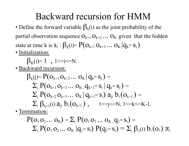#### Backward recursion for HMM

• Define the forward variable  $\beta_k(i)$  as the joint probability of the partial observation sequence  $O_{k+1} O_{k+2} \dots O_K$  given that the hidden state at time k is  $S_i$ :  $\beta_k(i) = P(O_{k+1} O_{k+2} \dots O_K | q_k = S_i)$ 

• Initialization:

$$
\beta_K(i)=1 \quad , \; 1\leq i\leq N.
$$

• Backward recursion:

$$
\beta_{k}(j) = P(o_{k+1} o_{k+2} \dots o_{K} | q_{k} = s_{j}) =
$$
\n
$$
\sum_{i} P(o_{k+1} o_{k+2} \dots o_{K} | q_{k+1} = s_{i} | q_{k} = s_{j}) =
$$
\n
$$
\sum_{i} P(o_{k+2} o_{k+3} \dots o_{K} | q_{k+1} = s_{i}) a_{ji} b_{i} (o_{k+1}) =
$$
\n
$$
\sum_{i} \beta_{k+1}(i) a_{ji} b_{i} (o_{k+1}), \qquad 1 \leq j \leq N, 1 \leq k \leq K-1.
$$

• Termination:

$$
P(o_1 o_2 ... o_K) = \sum_i P(o_1 o_2 ... o_K, q_1 = s_i) =
$$
  
 
$$
\sum_i P(o_1 o_2 ... o_K | q_1 = s_i) P(q_1 = s_i) = \sum_i \beta_1(i) b_i(o_1) \pi_i
$$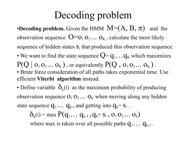# Decoding problem

•**Decoding problem.** Given the HMM  $M=(A, B, \pi)$  and the observation sequence  $O = O_1 O_2 ... O_K$ , calculate the most likely sequence of hidden states  $S_i$  that produced this observation sequence. • We want to find the state sequence  $Q = q_1 \dots q_K$  which maximizes  $P(Q | o_1 o_2 ... o_K)$ , or equivalently  $P(Q, o_1 o_2 ... o_K)$ .

• Brute force consideration of all paths takes exponential time. Use efficient **Viterbi algorithm** instead.

• Define variable  $\delta_k(i)$  as the maximum probability of producing observation sequence  $O_1 O_2 \dots O_k$  when moving along any hidden state sequence  $q_1 \dots q_{k-1}$  and getting into  $q_k = s_i$ .

$$
\delta_k(i) = \max P(q_1 \dots q_{k-1}, q_k = s_i, o_1 o_2 \dots o_k)
$$

where max is taken over all possible paths  $q_1 \dots q_{k-1}$ .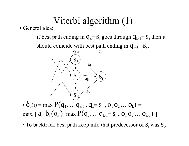## Viterbi algorithm (1)

• General idea:

if best path ending in  $q_k = s_i$  goes through  $q_{k-1} = s_i$  then it should coincide with best path ending in  $q_{k-1} = s_i$ .



•  $\delta_k(i)$  = max  $P(q_1... q_{k-1}, q_k = s_j, o_1 o_2 ... o_k)$  =  $\max_i [ a_{ij} b_j(o_k) \text{ max } P(q_1... q_{k-1}=s_i, o_1 o_2... o_{k-1}) ]$ 

• To backtrack best path keep info that predecessor of  $S_i$  was  $S_i$ .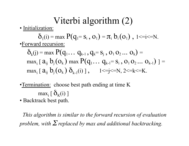## Viterbi algorithm (2)

• Initialization:

 $\delta_1(i) = \max P(q_1 = s_i, o_1) = \pi_i b_i(o_1)$ , 1<=i<=N. •Forward recursion:

 $\delta_k(i) = \max P(q_1 \dots q_{k-1}, q_k = S_i, o_1 o_2 \dots o_k) =$  $max_i [ a_{ij} b_j(o_k)$  max  $P(q_1... q_{k-1}=s_i, o_1 o_2... o_{k-1}) ] =$  $\max_i [a_{ij} b_j(o_k) \delta_{k-1}(i)]$ , 1<=j<=N, 2<=k<=K.

•Termination: choose best path ending at time K  $max_i [\delta_{K}(i)]$ 

• Backtrack best path.

 *This algorithm is similar to the forward recursion of evaluation problem, with* Σ *replaced by max and additional backtracking.*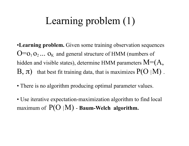# Learning problem (1)

•**Learning problem.** Given some training observation sequences  $O=O_1 O_2 \ldots O_K$  and general structure of HMM (numbers of hidden and visible states), determine HMM parameters  $M= (A, A)$  $B, \pi$ ) that best fit training data, that is maximizes  $P(O | M)$ .

- There is no algorithm producing optimal parameter values.
- Use iterative expectation-maximization algorithm to find local maximum of P(O |M) - **Baum-Welch algorithm.**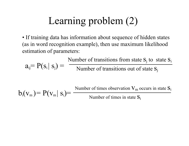# Learning problem (2)

• If training data has information about sequence of hidden states (as in word recognition example), then use maximum likelihood estimation of parameters:

 $a_{ij} = P(s_i | s_j) =$ Number of transitions from state  $S_i$  to state  $S_i$ Number of transitions out of state  $S_j$ 

 $b_i(v_m) = P(v_m | s_i) =$ Number of times observation  $V_m$  occurs in state  $S_i$ Number of times in state  $S_i$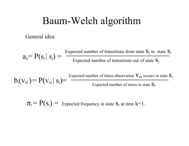### Baum-Welch algorithm

General idea:

$$
a_{ij} = P(s_i | s_j) = \frac{\text{Expected number of transitions from state } s_j \text{ to state } s_i}{\text{Expected number of transitions out of state } s_j}
$$

 $b_i(v_m) = P(v_m \mid s_i) = \frac{Expected \text{ number of times observation } v_m \text{ occurs in state } s_i}{\text{Expected number of times observation } s_i \text{ to } s_i}$ Expected number of times in state  $S_i$ 

 $\pi_i = P(s_i) =$  Expected frequency in state  $s_i$  at time k=1.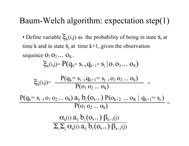#### Baum-Welch algorithm: expectation step(1)

• Define variable  $\zeta_k(i,j)$  as the probability of being in state  $S_i$  at time k and in state  $S_i$  at time k+1, given the observation sequence  $O_1 O_2 \dots O_K$ .

$$
\xi_k(i,j) = P(q_k = s_i, q_{k+1} = s_j | o_1 o_2 ... o_k)
$$

$$
\xi_{k}(i,j)=\dfrac{P(q_{k}=s_{i}\; ,q_{k+1}=s_{j}\; ,o_{1}\,o_{2}\ldots o_{k})}{P(o_{1}\,o_{2}\ldots o_{k})}=\dfrac{P(q_{k}=s_{i}\; ,o_{1}\,o_{2}\ldots o_{k})\; a_{ij}\; b_{j}\, (o_{k+1})\; P(o_{k+2}\; \ldots \; o_{K}\; |\; q_{k+1}=s_{j}\; )}{P(o_{1}\,o_{2}\ldots o_{k})}=\dfrac{\alpha_{k}(i)\; a_{ij}\; b_{j}\, (o_{k+1})\; \beta_{k+1}(j)}{\sum_{i}\sum_{j}\, \alpha_{k}(i)\; a_{ij}\; b_{j}\, (o_{k+1})\; \beta_{k+1}(j)}
$$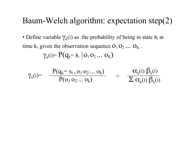#### Baum-Welch algorithm: expectation step(2)

• Define variable  $\gamma_k(i)$  as the probability of being in state  $S_i$  at time k, given the observation sequence  $O_1 O_2 \dots O_K$ .  $\gamma_k(i) = P(q_k = s_i | o_1 o_2 ... o_K)$ 

$$
\gamma_{k}(i) = \frac{P(q_{k} = s_{i}, o_{1} o_{2} ... o_{k})}{P(o_{1} o_{2} ... o_{k})} = \frac{\alpha_{k}(i) \beta_{k}(i)}{\sum_{i} \alpha_{k}(i) \beta_{k}(i)}
$$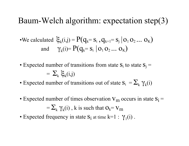#### Baum-Welch algorithm: expectation step(3)

We calculated 
$$
\xi_k(i,j) = P(q_k = s_i, q_{k+1} = s_j | o_1 o_2 ... o_K)
$$
  
and  $\gamma_k(i) = P(q_k = s_i | o_1 o_2 ... o_K)$ 

• Expected number of transitions from state  $S_i$  to state  $S_i$  =

$$
= \sum_{k} \xi_{k}(i,j)
$$

- Expected number of transitions out of state  $S_i = \sum_k \gamma_k(i)$
- Expected number of times observation  $V_m$  occurs in state  $S_i$  =  $=\sum_{k} \gamma_{k}(i)$ , k is such that  $O_{k} = V_{m}$
- Expected frequency in state  $S_i$  at time  $k=1$ :  $\gamma_1(i)$ .